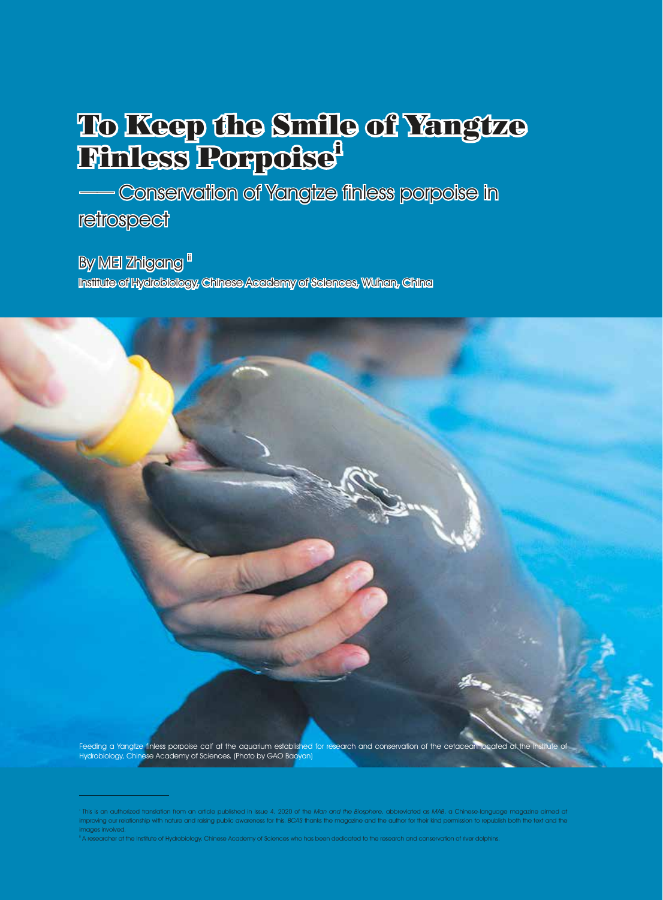## To Keep the Smile of Yangtze **Finless Porpoise**

—— Conservation of Yangtze finless porpoise in **retrospect** 

By MEI Zhigang "

Institute of Hydrobiology, Chinese Academy of Sciences, Wuhan, China

Feeding a Yangtze finless porpoise calf at the aquarium established for research and conservation of the cetacean located at the Institute of Hydrobiology, Chinese Academy of Sciences. (Photo by GAO Baoyan)

This is an authorized translation from an article published in Issue 4, 2020 of the Man and the Biosphere, abbreviated as MAB, a Chinese-language magazine aimed at improving our relationship with nature and raising public awareness for this. BCAS thanks the magazine and the author for their kind permission to republish both the text and the images involved.

 $^{\text{\tiny{\textsf{I}}}}$  A researcher at the Institute of Hydrobiology, Chinese Academy of Sciences who has been dedicated to the research and conservation of river dolphins.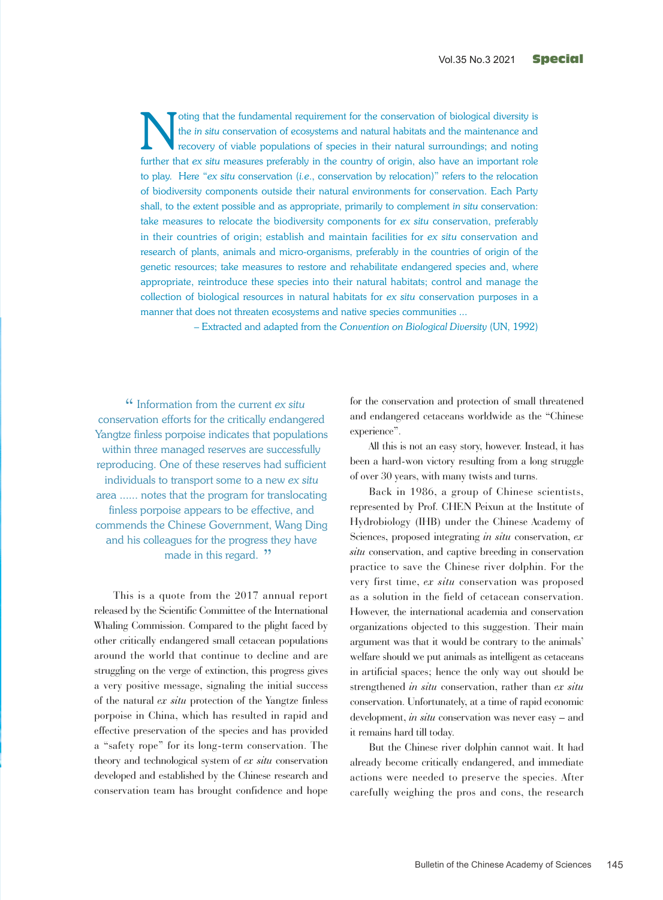The in situ conservation of ecosystems and natural habitats and the maintenance and recovery of viable populations of species in their natural surroundings; and noting the *in situ* conservation of ecosystems and natural habitats and the maintenance and recovery of viable populations of species in their natural surroundings; and noting further that *ex situ* measures preferably in the country of origin, also have an important role to play. Here "*ex situ* conservation (*i.e*., conservation by relocation)" refers to the relocation of biodiversity components outside their natural environments for conservation. Each Party shall, to the extent possible and as appropriate, primarily to complement *in situ* conservation: take measures to relocate the biodiversity components for *ex situ* conservation, preferably in their countries of origin; establish and maintain facilities for *ex situ* conservation and research of plants, animals and micro-organisms, preferably in the countries of origin of the genetic resources; take measures to restore and rehabilitate endangered species and, where appropriate, reintroduce these species into their natural habitats; control and manage the collection of biological resources in natural habitats for *ex situ* conservation purposes in a manner that does not threaten ecosystems and native species communities ...

– Extracted and adapted from the *Convention on Biological Diversity* (UN, 1992)

Information from the current *ex situ* " conservation efforts for the critically endangered Yangtze finless porpoise indicates that populations within three managed reserves are successfully reproducing. One of these reserves had sufficient individuals to transport some to a new *ex situ* area ...... notes that the program for translocating finless porpoise appears to be effective, and commends the Chinese Government, Wang Ding and his colleagues for the progress they have made in this regard. "

This is a quote from the 2017 annual report released by the Scientific Committee of the International Whaling Commission. Compared to the plight faced by other critically endangered small cetacean populations around the world that continue to decline and are struggling on the verge of extinction, this progress gives a very positive message, signaling the initial success of the natural *ex situ* protection of the Yangtze finless porpoise in China, which has resulted in rapid and effective preservation of the species and has provided a "safety rope" for its long-term conservation. The theory and technological system of *ex situ* conservation developed and established by the Chinese research and conservation team has brought confidence and hope

for the conservation and protection of small threatened and endangered cetaceans worldwide as the "Chinese experience".

All this is not an easy story, however. Instead, it has been a hard-won victory resulting from a long struggle of over 30 years, with many twists and turns.

Back in 1986, a group of Chinese scientists, represented by Prof. CHEN Peixun at the Institute of Hydrobiology (IHB) under the Chinese Academy of Sciences, proposed integrating *in situ* conservation, *ex situ* conservation, and captive breeding in conservation practice to save the Chinese river dolphin. For the very first time, *ex situ* conservation was proposed as a solution in the field of cetacean conservation. However, the international academia and conservation organizations objected to this suggestion. Their main argument was that it would be contrary to the animals' welfare should we put animals as intelligent as cetaceans in artificial spaces; hence the only way out should be strengthened *in situ* conservation, rather than *ex situ*  conservation. Unfortunately, at a time of rapid economic development, *in situ* conservation was never easy – and it remains hard till today.

But the Chinese river dolphin cannot wait. It had already become critically endangered, and immediate actions were needed to preserve the species. After carefully weighing the pros and cons, the research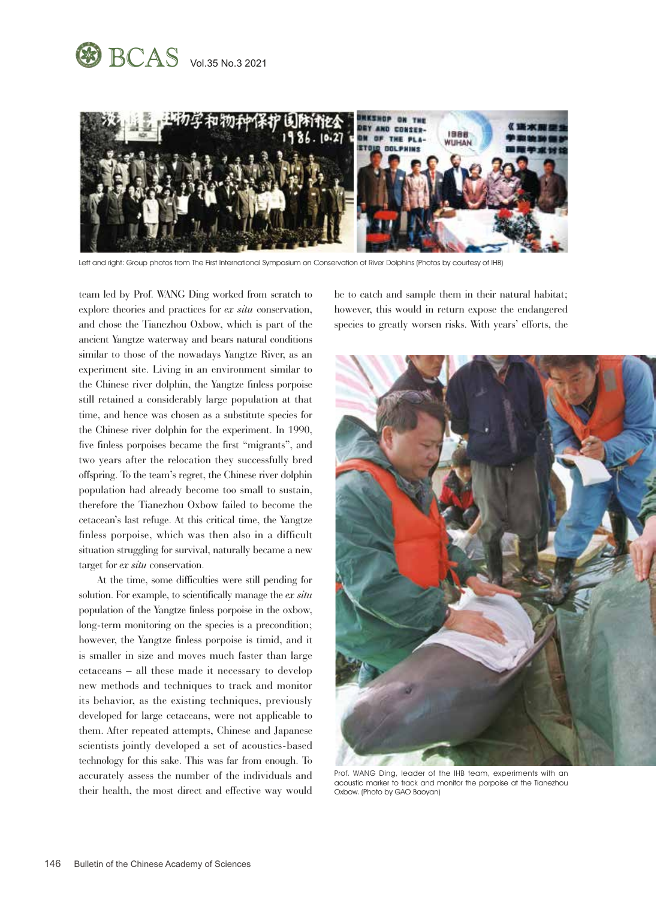



Left and right: Group photos from The First International Symposium on Conservation of River Dolphins (Photos by courtesy of IHB)

team led by Prof. WANG Ding worked from scratch to explore theories and practices for *ex situ* conservation, and chose the Tianezhou Oxbow, which is part of the ancient Yangtze waterway and bears natural conditions similar to those of the nowadays Yangtze River, as an experiment site. Living in an environment similar to the Chinese river dolphin, the Yangtze finless porpoise still retained a considerably large population at that time, and hence was chosen as a substitute species for the Chinese river dolphin for the experiment. In 1990, five finless porpoises became the first "migrants", and two years after the relocation they successfully bred offspring. To the team's regret, the Chinese river dolphin population had already become too small to sustain, therefore the Tianezhou Oxbow failed to become the cetacean's last refuge. At this critical time, the Yangtze finless porpoise, which was then also in a difficult situation struggling for survival, naturally became a new target for *ex situ* conservation.

At the time, some difficulties were still pending for solution. For example, to scientifically manage the *ex situ*  population of the Yangtze finless porpoise in the oxbow, long-term monitoring on the species is a precondition; however, the Yangtze finless porpoise is timid, and it is smaller in size and moves much faster than large cetaceans – all these made it necessary to develop new methods and techniques to track and monitor its behavior, as the existing techniques, previously developed for large cetaceans, were not applicable to them. After repeated attempts, Chinese and Japanese scientists jointly developed a set of acoustics-based technology for this sake. This was far from enough. To accurately assess the number of the individuals and their health, the most direct and effective way would

be to catch and sample them in their natural habitat; however, this would in return expose the endangered species to greatly worsen risks. With years' efforts, the



Prof. WANG Ding, leader of the IHB team, experiments with an acoustic marker to track and monitor the porpoise at the Tianezhou Oxbow. (Photo by GAO Baoyan)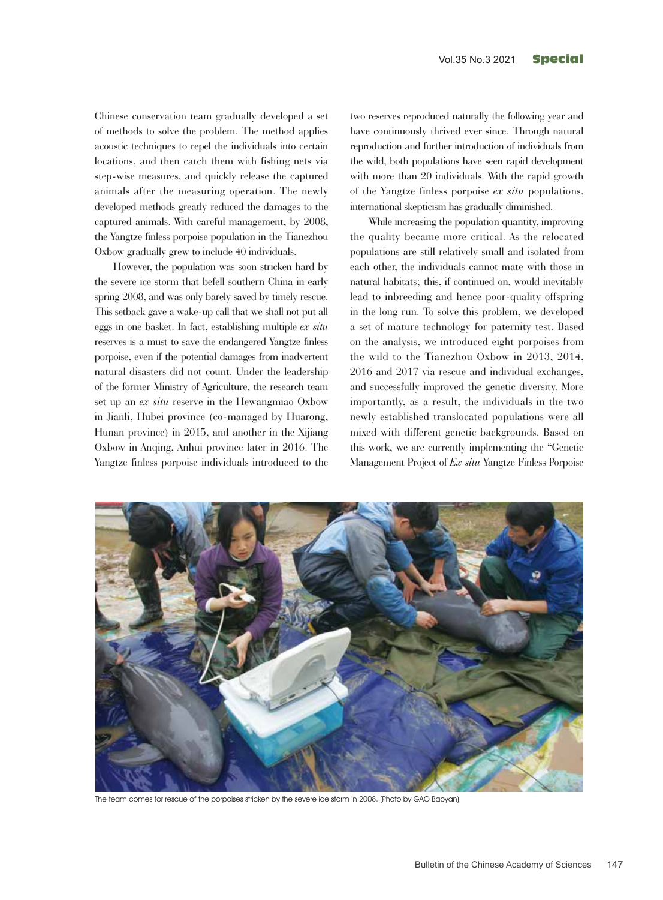Chinese conservation team gradually developed a set of methods to solve the problem. The method applies acoustic techniques to repel the individuals into certain locations, and then catch them with fishing nets via step-wise measures, and quickly release the captured animals after the measuring operation. The newly developed methods greatly reduced the damages to the captured animals. With careful management, by 2008, the Yangtze finless porpoise population in the Tianezhou Oxbow gradually grew to include 40 individuals.

However, the population was soon stricken hard by the severe ice storm that befell southern China in early spring 2008, and was only barely saved by timely rescue. This setback gave a wake-up call that we shall not put all eggs in one basket. In fact, establishing multiple *ex situ* reserves is a must to save the endangered Yangtze finless porpoise, even if the potential damages from inadvertent natural disasters did not count. Under the leadership of the former Ministry of Agriculture, the research team set up an *ex situ* reserve in the Hewangmiao Oxbow in Jianli, Hubei province (co-managed by Huarong, Hunan province) in 2015, and another in the Xijiang Oxbow in Anqing, Anhui province later in 2016. The Yangtze finless porpoise individuals introduced to the two reserves reproduced naturally the following year and have continuously thrived ever since. Through natural reproduction and further introduction of individuals from the wild, both populations have seen rapid development with more than 20 individuals. With the rapid growth of the Yangtze finless porpoise *ex situ* populations, international skepticism has gradually diminished.

While increasing the population quantity, improving the quality became more critical. As the relocated populations are still relatively small and isolated from each other, the individuals cannot mate with those in natural habitats; this, if continued on, would inevitably lead to inbreeding and hence poor-quality offspring in the long run. To solve this problem, we developed a set of mature technology for paternity test. Based on the analysis, we introduced eight porpoises from the wild to the Tianezhou Oxbow in 2013, 2014, 2016 and 2017 via rescue and individual exchanges, and successfully improved the genetic diversity. More importantly, as a result, the individuals in the two newly established translocated populations were all mixed with different genetic backgrounds. Based on this work, we are currently implementing the "Genetic Management Project of *Ex situ* Yangtze Finless Porpoise



The team comes for rescue of the porpoises stricken by the severe ice storm in 2008. (Photo by GAO Baoyan)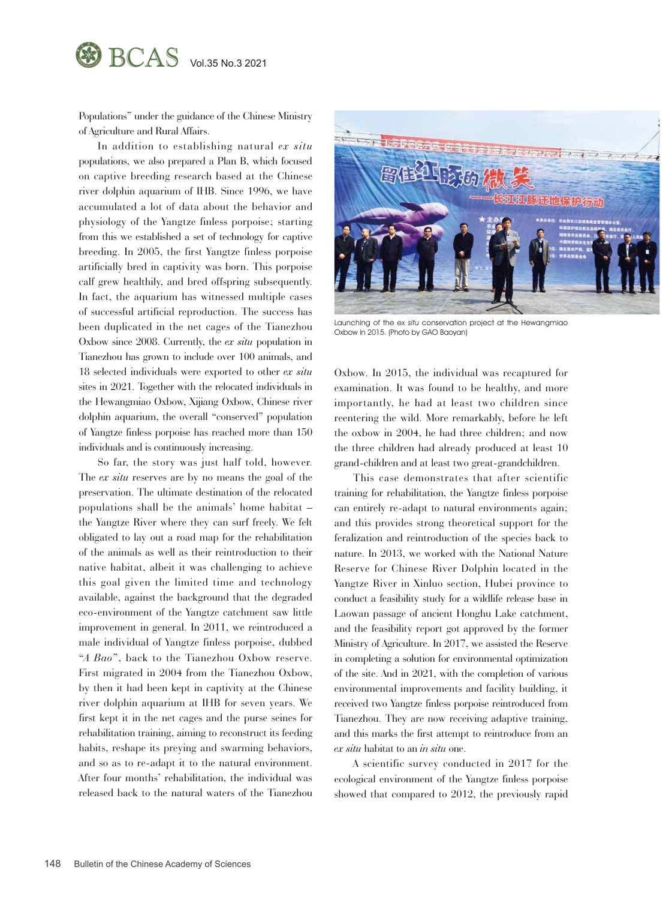

Populations" under the guidance of the Chinese Ministry of Agriculture and Rural Affairs.

In addition to establishing natural *ex situ*  populations, we also prepared a Plan B, which focused on captive breeding research based at the Chinese river dolphin aquarium of IHB. Since 1996, we have accumulated a lot of data about the behavior and physiology of the Yangtze finless porpoise; starting from this we established a set of technology for captive breeding. In 2005, the first Yangtze finless porpoise artificially bred in captivity was born. This porpoise calf grew healthily, and bred offspring subsequently. In fact, the aquarium has witnessed multiple cases of successful artificial reproduction. The success has been duplicated in the net cages of the Tianezhou Oxbow since 2008. Currently, the *ex situ* population in Tianezhou has grown to include over 100 animals, and 18 selected individuals were exported to other *ex situ* sites in 2021. Together with the relocated individuals in the Hewangmiao Oxbow, Xijiang Oxbow, Chinese river dolphin aquarium, the overall "conserved" population of Yangtze finless porpoise has reached more than 150 individuals and is continuously increasing.

So far, the story was just half told, however. The *ex situ* reserves are by no means the goal of the preservation. The ultimate destination of the relocated populations shall be the animals' home habitat – the Yangtze River where they can surf freely. We felt obligated to lay out a road map for the rehabilitation of the animals as well as their reintroduction to their native habitat, albeit it was challenging to achieve this goal given the limited time and technology available, against the background that the degraded eco-environment of the Yangtze catchment saw little improvement in general. In 2011, we reintroduced a male individual of Yangtze finless porpoise, dubbed "*A Bao*", back to the Tianezhou Oxbow reserve. First migrated in 2004 from the Tianezhou Oxbow, by then it had been kept in captivity at the Chinese river dolphin aquarium at IHB for seven years. We first kept it in the net cages and the purse seines for rehabilitation training, aiming to reconstruct its feeding habits, reshape its preying and swarming behaviors, and so as to re-adapt it to the natural environment. After four months' rehabilitation, the individual was released back to the natural waters of the Tianezhou



Launching of the ex situ conservation project at the Hewangmiao Oxbow in 2015. (Photo by GAO Baoyan)

Oxbow. In 2015, the individual was recaptured for examination. It was found to be healthy, and more importantly, he had at least two children since reentering the wild. More remarkably, before he left the oxbow in 2004, he had three children; and now the three children had already produced at least 10 grand-children and at least two great-grandchildren.

This case demonstrates that after scientific training for rehabilitation, the Yangtze finless porpoise can entirely re-adapt to natural environments again; and this provides strong theoretical support for the feralization and reintroduction of the species back to nature. In 2013, we worked with the National Nature Reserve for Chinese River Dolphin located in the Yangtze River in Xinluo section, Hubei province to conduct a feasibility study for a wildlife release base in Laowan passage of ancient Honghu Lake catchment, and the feasibility report got approved by the former Ministry of Agriculture. In 2017, we assisted the Reserve in completing a solution for environmental optimization of the site. And in 2021, with the completion of various environmental improvements and facility building, it received two Yangtze finless porpoise reintroduced from Tianezhou. They are now receiving adaptive training, and this marks the first attempt to reintroduce from an *ex situ* habitat to an *in situ* one.

A scientific survey conducted in 2017 for the ecological environment of the Yangtze finless porpoise showed that compared to 2012, the previously rapid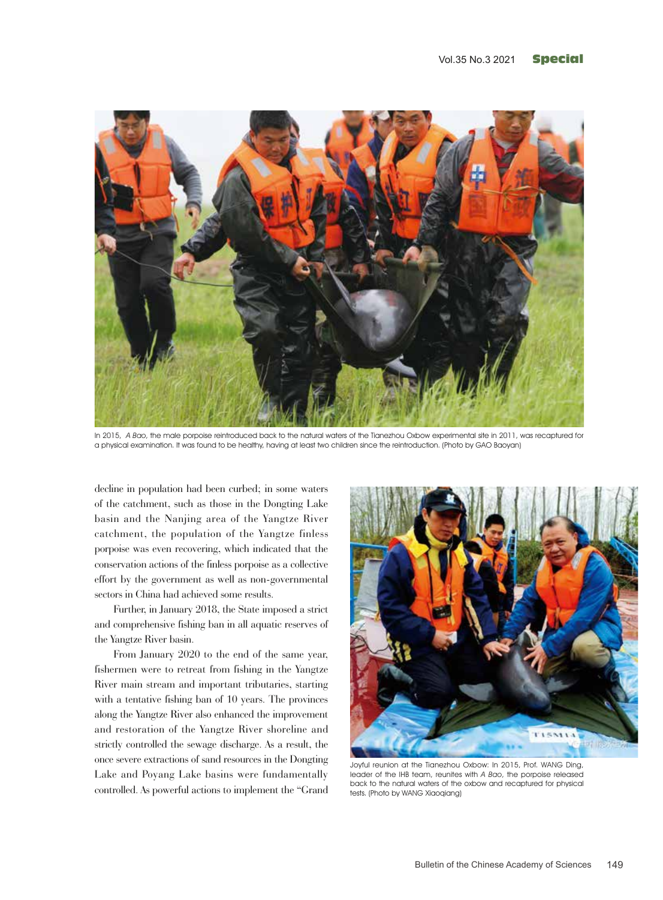

In 2015, A Bao, the male porpoise reintroduced back to the natural waters of the Tianezhou Oxbow experimental site in 2011, was recaptured for a physical examination. It was found to be healthy, having at least two children since the reintroduction. (Photo by GAO Baoyan)

decline in population had been curbed; in some waters of the catchment, such as those in the Dongting Lake basin and the Nanjing area of the Yangtze River catchment, the population of the Yangtze finless porpoise was even recovering, which indicated that the conservation actions of the finless porpoise as a collective effort by the government as well as non-governmental sectors in China had achieved some results.

Further, in January 2018, the State imposed a strict and comprehensive fishing ban in all aquatic reserves of the Yangtze River basin.

From January 2020 to the end of the same year, fishermen were to retreat from fishing in the Yangtze River main stream and important tributaries, starting with a tentative fishing ban of 10 years. The provinces along the Yangtze River also enhanced the improvement and restoration of the Yangtze River shoreline and strictly controlled the sewage discharge. As a result, the once severe extractions of sand resources in the Dongting Lake and Poyang Lake basins were fundamentally controlled. As powerful actions to implement the "Grand



Joyful reunion at the Tianezhou Oxbow: In 2015, Prof. WANG Ding, leader of the IHB team, reunites with A Bao, the porpoise released back to the natural waters of the oxbow and recaptured for physical tests. (Photo by WANG Xiaoqiang)